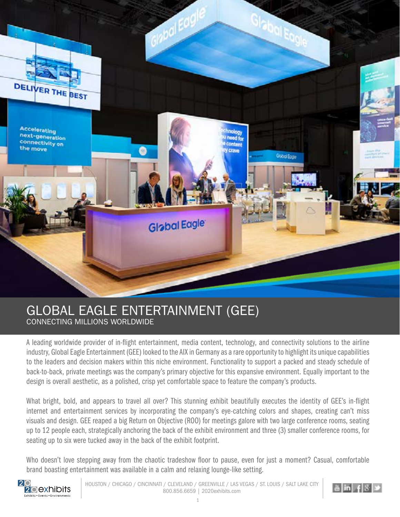

## GLOBAL EAGLE ENTERTAINMENT (GEE) CONNECTING MILLIONS WORLDWIDE

A leading worldwide provider of in-flight entertainment, media content, technology, and connectivity solutions to the airline industry, Global Eagle Entertainment (GEE) looked to the AIX in Germany as a rare opportunity to highlight its unique capabilities to the leaders and decision makers within this niche environment. Functionality to support a packed and steady schedule of back-to-back, private meetings was the company's primary objective for this expansive environment. Equally important to the design is overall aesthetic, as a polished, crisp yet comfortable space to feature the company's products.

What bright, bold, and appears to travel all over? This stunning exhibit beautifully executes the identity of GEE's in-flight internet and entertainment services by incorporating the company's eye-catching colors and shapes, creating can't miss visuals and design. GEE reaped a big Return on Objective (ROO) for meetings galore with two large conference rooms, seating up to 12 people each, strategically anchoring the back of the exhibit environment and three (3) smaller conference rooms, for seating up to six were tucked away in the back of the exhibit footprint.

Who doesn't love stepping away from the chaotic tradeshow floor to pause, even for just a moment? Casual, comfortable brand boasting entertainment was available in a calm and relaxing lounge-like setting.

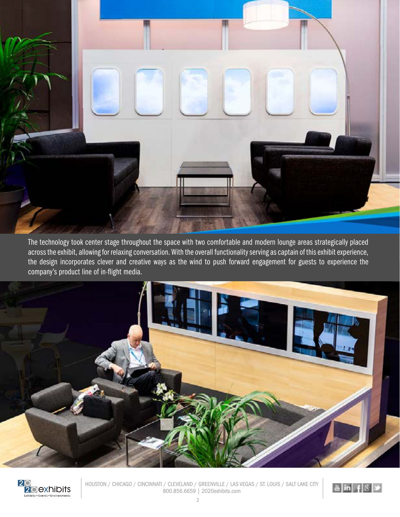

The technology took center stage throughout the space with two comfortable and modern lounge areas strategically placed across the exhibit, allowing for relaxing conversation. With the overall functionality serving as captain of this exhibit experience, the design incorporates clever and creative ways as the wind to push forward engagement for guests to experience the company's product line of in-flight media.